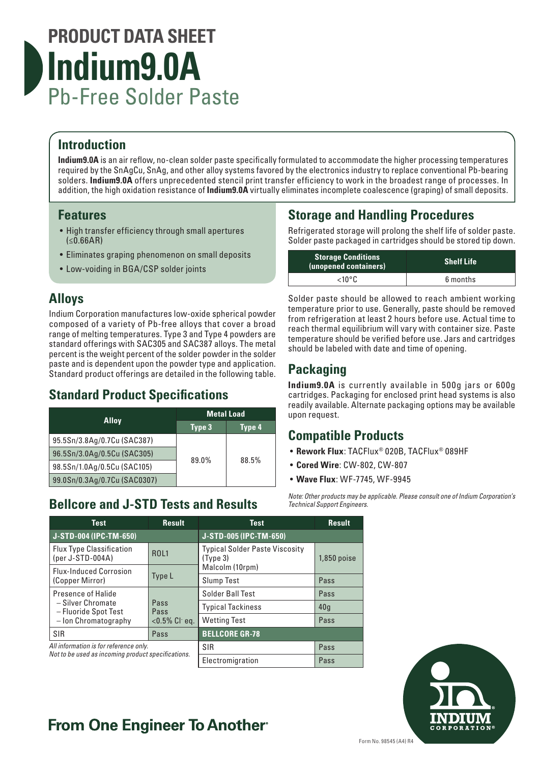# **PRODUCT DATA SHEET Indium9.0A** Pb-Free Solder Paste

### **Introduction**

**Indium9.0A** is an air reflow, no-clean solder paste specifically formulated to accommodate the higher processing temperatures required by the SnAgCu, SnAg, and other alloy systems favored by the electronics industry to replace conventional Pb-bearing solders. **Indium9.0A** offers unprecedented stencil print transfer efficiency to work in the broadest range of processes. In addition, the high oxidation resistance of **Indium9.0A** virtually eliminates incomplete coalescence (graping) of small deposits.

### **Features**

- High transfer efficiency through small apertures  $(**0.66**AR)$
- Eliminates graping phenomenon on small deposits
- Low-voiding in BGA/CSP solder joints

### **Alloys**

Indium Corporation manufactures low-oxide spherical powder composed of a variety of Pb-free alloys that cover a broad range of melting temperatures. Type 3 and Type 4 powders are standard offerings with SAC305 and SAC387 alloys. The metal percent is the weight percent of the solder powder in the solder paste and is dependent upon the powder type and application. Standard product offerings are detailed in the following table.

### **Standard Product Specifications**

|                              | <b>Metal Load</b> |        |  |
|------------------------------|-------------------|--------|--|
| <b>Alloy</b>                 | Type 3            | Type 4 |  |
| 95.5Sn/3.8Ag/0.7Cu (SAC387)  |                   |        |  |
| 96.5Sn/3.0Ag/0.5Cu (SAC305)  | 89.0%             |        |  |
| 98.5Sn/1.0Ag/0.5Cu (SAC105)  | 88.5%             |        |  |
| 99.0Sn/0.3Ag/0.7Cu (SAC0307) |                   |        |  |

### **Bellcore and J-STD Tests and Results**

## **Storage and Handling Procedures**

Refrigerated storage will prolong the shelf life of solder paste. Solder paste packaged in cartridges should be stored tip down.

| <b>Storage Conditions</b><br>(unopened containers) | <b>Shelf Life</b> |
|----------------------------------------------------|-------------------|
| $<$ 10°C.                                          | 6 months          |

Solder paste should be allowed to reach ambient working temperature prior to use. Generally, paste should be removed from refrigeration at least 2 hours before use. Actual time to reach thermal equilibrium will vary with container size. Paste temperature should be verified before use. Jars and cartridges should be labeled with date and time of opening.

## **Packaging**

**Indium9.0A** is currently available in 500g jars or 600g cartridges. Packaging for enclosed print head systems is also readily available. Alternate packaging options may be available upon request.

### **Compatible Products**

- **Rework Flux**: TACFlux® 020B, TACFlux® 089HF
- **Cored Wire**: CW-802, CW-807
- **Wave Flux**: WF-7745, WF-9945

*Note: Other products may be applicable. Please consult one of Indium Corporation's Technical Support Engineers.*

| <b>Test</b>                                                                                                                 | <b>Result</b>       | <b>Test</b>                                                   | <b>Result</b> |
|-----------------------------------------------------------------------------------------------------------------------------|---------------------|---------------------------------------------------------------|---------------|
| J-STD-004 (IPC-TM-650)                                                                                                      |                     | J-STD-005 (IPC-TM-650)                                        |               |
| <b>Flux Type Classification</b><br>(per J-STD-004A)                                                                         | ROL <sub>1</sub>    | <b>Typical Solder Paste Viscosity</b><br>(Tvpe <sub>3</sub> ) | $1,850$ poise |
| <b>Flux-Induced Corrosion</b>                                                                                               |                     | Malcolm (10rpm)                                               |               |
| Type L<br>(Copper Mirror)                                                                                                   |                     | <b>Slump Test</b>                                             | Pass          |
| Presence of Halide<br>- Silver Chromate<br>Pass<br>- Fluoride Spot Test<br>Pass<br>- Ion Chromatography<br>$< 0.5\%$ Cl eq. | Solder Ball Test    | Pass                                                          |               |
|                                                                                                                             |                     | <b>Typical Tackiness</b>                                      | 40q           |
|                                                                                                                             | <b>Wetting Test</b> | Pass                                                          |               |
| SIR                                                                                                                         | Pass                | <b>BELLCORE GR-78</b>                                         |               |
| All information is for reference only.<br>Not to be used as incoming product specifications.                                |                     | SIR<br>Pass                                                   |               |
|                                                                                                                             |                     | Electromigration                                              | Pass          |



# **From One Engineer To Another**®